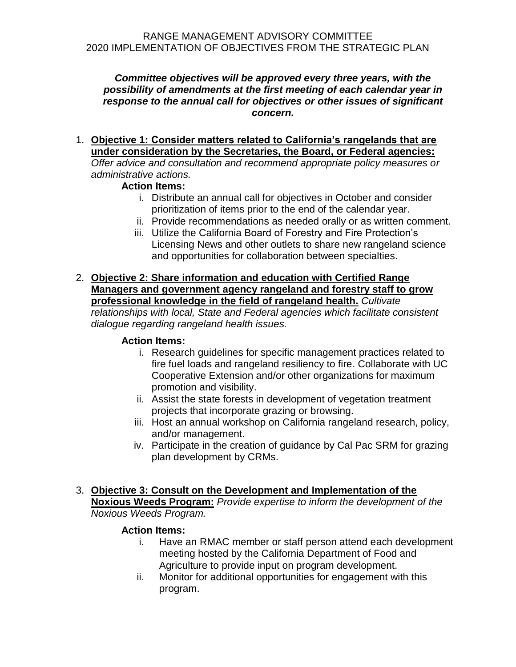### *Committee objectives will be approved every three years, with the possibility of amendments at the first meeting of each calendar year in response to the annual call for objectives or other issues of significant concern.*

### 1. **Objective 1: Consider matters related to California's rangelands that are under consideration by the Secretaries, the Board, or Federal agencies:**  *Offer advice and consultation and recommend appropriate policy measures or administrative actions.*

# **Action Items:**

- i. Distribute an annual call for objectives in October and consider prioritization of items prior to the end of the calendar year.
- ii. Provide recommendations as needed orally or as written comment.
- iii. Utilize the California Board of Forestry and Fire Protection's Licensing News and other outlets to share new rangeland science and opportunities for collaboration between specialties.
- 2. **Objective 2: Share information and education with Certified Range Managers and government agency rangeland and forestry staff to grow professional knowledge in the field of rangeland health.** *Cultivate relationships with local, State and Federal agencies which facilitate consistent*

*dialogue regarding rangeland health issues.*

# **Action Items:**

- i. Research guidelines for specific management practices related to fire fuel loads and rangeland resiliency to fire. Collaborate with UC Cooperative Extension and/or other organizations for maximum promotion and visibility.
- ii. Assist the state forests in development of vegetation treatment projects that incorporate grazing or browsing.
- iii. Host an annual workshop on California rangeland research, policy, and/or management.
- iv. Participate in the creation of guidance by Cal Pac SRM for grazing plan development by CRMs.
- 3. **Objective 3: Consult on the Development and Implementation of the Noxious Weeds Program:** *Provide expertise to inform the development of the Noxious Weeds Program.*

# **Action Items:**

- i. Have an RMAC member or staff person attend each development meeting hosted by the California Department of Food and Agriculture to provide input on program development.
- ii. Monitor for additional opportunities for engagement with this program.